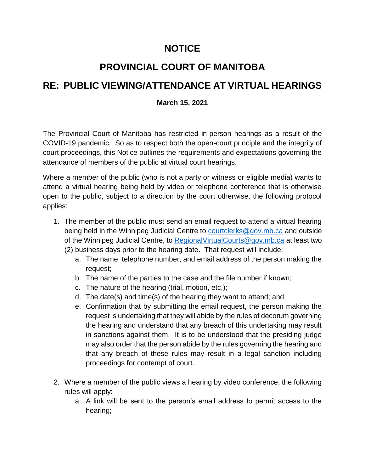### **NOTICE**

# **PROVINCIAL COURT OF MANITOBA**

## **RE: PUBLIC VIEWING/ATTENDANCE AT VIRTUAL HEARINGS**

### **March 15, 2021**

The Provincial Court of Manitoba has restricted in-person hearings as a result of the COVID-19 pandemic. So as to respect both the open-court principle and the integrity of court proceedings, this Notice outlines the requirements and expectations governing the attendance of members of the public at virtual court hearings.

Where a member of the public (who is not a party or witness or eligible media) wants to attend a virtual hearing being held by video or telephone conference that is otherwise open to the public, subject to a direction by the court otherwise, the following protocol applies:

- 1. The member of the public must send an email request to attend a virtual hearing being held in the Winnipeg Judicial Centre to [courtclerks@gov.mb.ca](mailto:courtclerks@gov.mb.ca) and outside of the Winnipeg Judicial Centre, to Regional Virtual Courts @gov.mb.ca at least two
	- (2) business days prior to the hearing date. That request will include:
		- a. The name, telephone number, and email address of the person making the request;
		- b. The name of the parties to the case and the file number if known;
		- c. The nature of the hearing (trial, motion, etc.);
		- d. The date(s) and time(s) of the hearing they want to attend; and
		- e. Confirmation that by submitting the email request, the person making the request is undertaking that they will abide by the rules of decorum governing the hearing and understand that any breach of this undertaking may result in sanctions against them. It is to be understood that the presiding judge may also order that the person abide by the rules governing the hearing and that any breach of these rules may result in a legal sanction including proceedings for contempt of court.
- 2. Where a member of the public views a hearing by video conference, the following rules will apply:
	- a. A link will be sent to the person's email address to permit access to the hearing;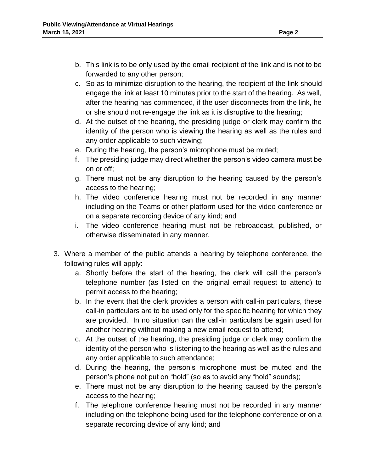- b. This link is to be only used by the email recipient of the link and is not to be forwarded to any other person;
- c. So as to minimize disruption to the hearing, the recipient of the link should engage the link at least 10 minutes prior to the start of the hearing. As well, after the hearing has commenced, if the user disconnects from the link, he or she should not re-engage the link as it is disruptive to the hearing;
- d. At the outset of the hearing, the presiding judge or clerk may confirm the identity of the person who is viewing the hearing as well as the rules and any order applicable to such viewing;
- e. During the hearing, the person's microphone must be muted;
- f. The presiding judge may direct whether the person's video camera must be on or off;
- g. There must not be any disruption to the hearing caused by the person's access to the hearing;
- h. The video conference hearing must not be recorded in any manner including on the Teams or other platform used for the video conference or on a separate recording device of any kind; and
- i. The video conference hearing must not be rebroadcast, published, or otherwise disseminated in any manner.
- 3. Where a member of the public attends a hearing by telephone conference, the following rules will apply:
	- a. Shortly before the start of the hearing, the clerk will call the person's telephone number (as listed on the original email request to attend) to permit access to the hearing;
	- b. In the event that the clerk provides a person with call-in particulars, these call-in particulars are to be used only for the specific hearing for which they are provided. In no situation can the call-in particulars be again used for another hearing without making a new email request to attend;
	- c. At the outset of the hearing, the presiding judge or clerk may confirm the identity of the person who is listening to the hearing as well as the rules and any order applicable to such attendance;
	- d. During the hearing, the person's microphone must be muted and the person's phone not put on "hold" (so as to avoid any "hold" sounds);
	- e. There must not be any disruption to the hearing caused by the person's access to the hearing;
	- f. The telephone conference hearing must not be recorded in any manner including on the telephone being used for the telephone conference or on a separate recording device of any kind; and